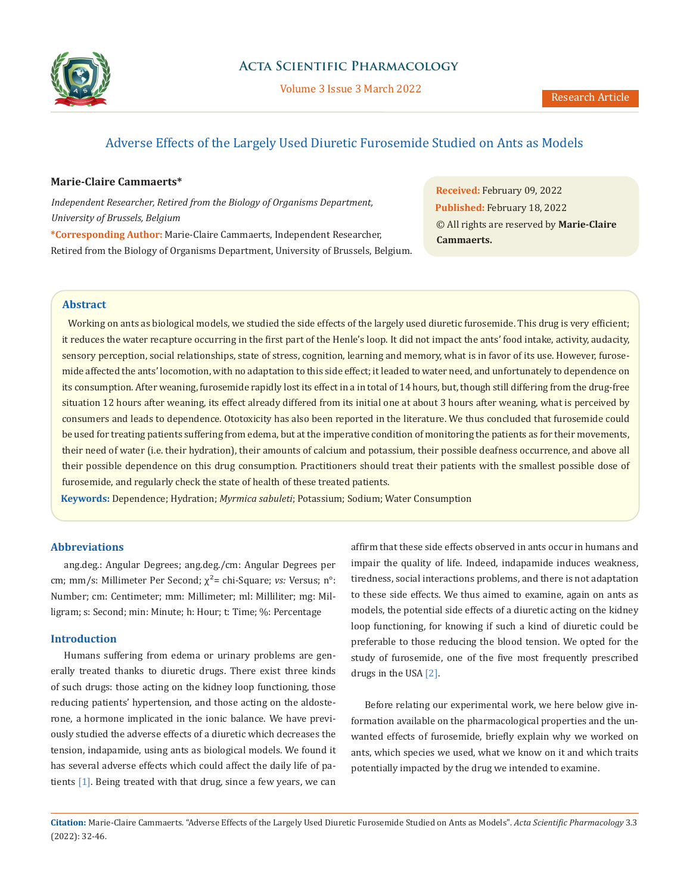

Volume 3 Issue 3 March 2022

# Adverse Effects of the Largely Used Diuretic Furosemide Studied on Ants as Models

## **Marie-Claire Cammaerts\***

*Independent Researcher, Retired from the Biology of Organisms Department, University of Brussels, Belgium*

**\*Corresponding Author:** Marie-Claire Cammaerts, Independent Researcher, Retired from the Biology of Organisms Department, University of Brussels, Belgium.

**Received:** February 09, 2022 **Published:** February 18, 2022 © All rights are reserved by **Marie-Claire Cammaerts.**

# **Abstract**

 Working on ants as biological models, we studied the side effects of the largely used diuretic furosemide. This drug is very efficient; it reduces the water recapture occurring in the first part of the Henle's loop. It did not impact the ants' food intake, activity, audacity, sensory perception, social relationships, state of stress, cognition, learning and memory, what is in favor of its use. However, furosemide affected the ants' locomotion, with no adaptation to this side effect; it leaded to water need, and unfortunately to dependence on its consumption. After weaning, furosemide rapidly lost its effect in a in total of 14 hours, but, though still differing from the drug-free situation 12 hours after weaning, its effect already differed from its initial one at about 3 hours after weaning, what is perceived by consumers and leads to dependence. Ototoxicity has also been reported in the literature. We thus concluded that furosemide could be used for treating patients suffering from edema, but at the imperative condition of monitoring the patients as for their movements, their need of water (i.e. their hydration), their amounts of calcium and potassium, their possible deafness occurrence, and above all their possible dependence on this drug consumption. Practitioners should treat their patients with the smallest possible dose of furosemide, and regularly check the state of health of these treated patients.

**Keywords:** Dependence; Hydration; *Myrmica sabuleti*; Potassium; Sodium; Water Consumption

### **Abbreviations**

ang.deg.: Angular Degrees; ang.deg./cm: Angular Degrees per cm; mm/s: Millimeter Per Second; χ²= chi-Square; *vs:* Versus; n°: Number; cm: Centimeter; mm: Millimeter; ml: Milliliter; mg: Milligram; s: Second; min: Minute; h: Hour; t: Time; %: Percentage

## **Introduction**

Humans suffering from edema or urinary problems are generally treated thanks to diuretic drugs. There exist three kinds of such drugs: those acting on the kidney loop functioning, those reducing patients' hypertension, and those acting on the aldosterone, a hormone implicated in the ionic balance. We have previously studied the adverse effects of a diuretic which decreases the tension, indapamide, using ants as biological models. We found it has several adverse effects which could affect the daily life of patients [1]. Being treated with that drug, since a few years, we can affirm that these side effects observed in ants occur in humans and impair the quality of life. Indeed, indapamide induces weakness, tiredness, social interactions problems, and there is not adaptation to these side effects. We thus aimed to examine, again on ants as models, the potential side effects of a diuretic acting on the kidney loop functioning, for knowing if such a kind of diuretic could be preferable to those reducing the blood tension. We opted for the study of furosemide, one of the five most frequently prescribed drugs in the USA [2].

Before relating our experimental work, we here below give information available on the pharmacological properties and the unwanted effects of furosemide, briefly explain why we worked on ants, which species we used, what we know on it and which traits potentially impacted by the drug we intended to examine.

**Citation:** Marie-Claire Cammaerts*.* "Adverse Effects of the Largely Used Diuretic Furosemide Studied on Ants as Models". *Acta Scientific Pharmacology* 3.3 (2022): 32-46.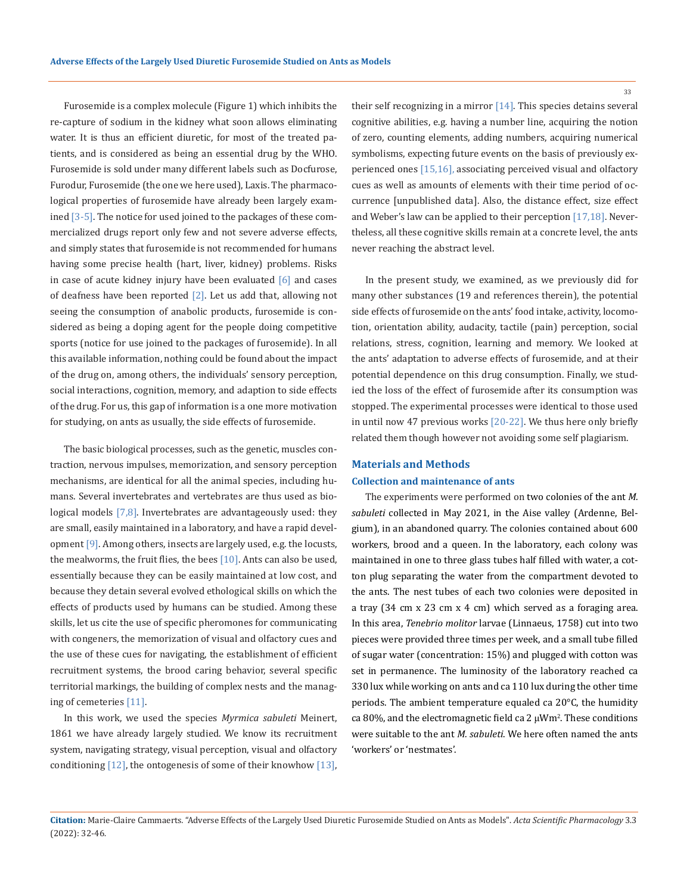Furosemide is a complex molecule (Figure 1) which inhibits the re-capture of sodium in the kidney what soon allows eliminating water. It is thus an efficient diuretic, for most of the treated patients, and is considered as being an essential drug by the WHO. Furosemide is sold under many different labels such as Docfurose, Furodur, Furosemide (the one we here used), Laxis. The pharmacological properties of furosemide have already been largely examined [3-5]. The notice for used joined to the packages of these commercialized drugs report only few and not severe adverse effects, and simply states that furosemide is not recommended for humans having some precise health (hart, liver, kidney) problems. Risks in case of acute kidney injury have been evaluated  $[6]$  and cases of deafness have been reported [2]. Let us add that, allowing not seeing the consumption of anabolic products, furosemide is considered as being a doping agent for the people doing competitive sports (notice for use joined to the packages of furosemide). In all this available information, nothing could be found about the impact of the drug on, among others, the individuals' sensory perception, social interactions, cognition, memory, and adaption to side effects of the drug. For us, this gap of information is a one more motivation for studying, on ants as usually, the side effects of furosemide.

The basic biological processes, such as the genetic, muscles contraction, nervous impulses, memorization, and sensory perception mechanisms, are identical for all the animal species, including humans. Several invertebrates and vertebrates are thus used as biological models  $[7,8]$ . Invertebrates are advantageously used: they are small, easily maintained in a laboratory, and have a rapid development [9]. Among others, insects are largely used, e.g. the locusts, the mealworms, the fruit flies, the bees  $[10]$ . Ants can also be used, essentially because they can be easily maintained at low cost, and because they detain several evolved ethological skills on which the effects of products used by humans can be studied. Among these skills, let us cite the use of specific pheromones for communicating with congeners, the memorization of visual and olfactory cues and the use of these cues for navigating, the establishment of efficient recruitment systems, the brood caring behavior, several specific territorial markings, the building of complex nests and the managing of cemeteries [11].

In this work, we used the species *Myrmica sabuleti* Meinert, 1861 we have already largely studied. We know its recruitment system, navigating strategy, visual perception, visual and olfactory conditioning  $[12]$ , the ontogenesis of some of their knowhow  $[13]$ , their self recognizing in a mirror [14]. This species detains several cognitive abilities, e.g. having a number line, acquiring the notion of zero, counting elements, adding numbers, acquiring numerical symbolisms, expecting future events on the basis of previously experienced ones [15,16], associating perceived visual and olfactory cues as well as amounts of elements with their time period of occurrence [unpublished data]. Also, the distance effect, size effect and Weber's law can be applied to their perception [17,18]. Nevertheless, all these cognitive skills remain at a concrete level, the ants never reaching the abstract level.

In the present study, we examined, as we previously did for many other substances (19 and references therein), the potential side effects of furosemide on the ants' food intake, activity, locomotion, orientation ability, audacity, tactile (pain) perception, social relations, stress, cognition, learning and memory. We looked at the ants' adaptation to adverse effects of furosemide, and at their potential dependence on this drug consumption. Finally, we studied the loss of the effect of furosemide after its consumption was stopped. The experimental processes were identical to those used in until now 47 previous works [20-22]. We thus here only briefly related them though however not avoiding some self plagiarism.

# **Materials and Methods Collection and maintenance of ants**

The experiments were performed on two colonies of the ant *M. sabuleti* collected in May 2021, in the Aise valley (Ardenne, Belgium), in an abandoned quarry. The colonies contained about 600 workers, brood and a queen. In the laboratory, each colony was maintained in one to three glass tubes half filled with water, a cotton plug separating the water from the compartment devoted to the ants. The nest tubes of each two colonies were deposited in a tray (34 cm x 23 cm x 4 cm) which served as a foraging area. In this area, *Tenebrio molitor* larvae (Linnaeus, 1758) cut into two pieces were provided three times per week, and a small tube filled of sugar water (concentration: 15%) and plugged with cotton was set in permanence. The luminosity of the laboratory reached ca 330 lux while working on ants and ca 110 lux during the other time periods. The ambient temperature equaled ca 20°C, the humidity ca 80%, and the electromagnetic field ca 2 μWm<sup>2</sup>. These conditions were suitable to the ant *M. sabuleti*. We here often named the ants 'workers' or 'nestmates'.

**Citation:** Marie-Claire Cammaerts*.* "Adverse Effects of the Largely Used Diuretic Furosemide Studied on Ants as Models". *Acta Scientific Pharmacology* 3.3 (2022): 32-46.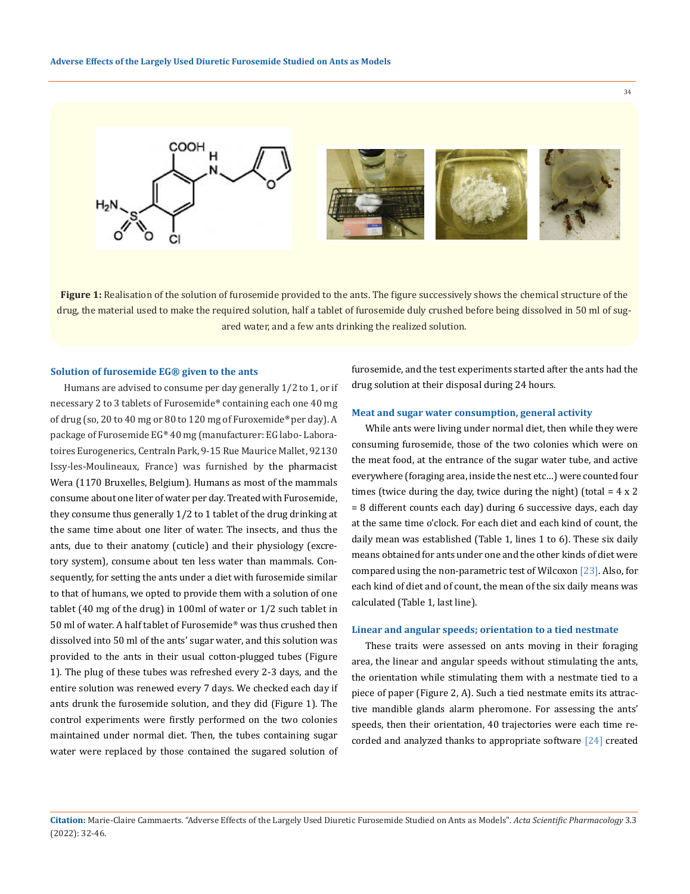

**Figure 1:** Realisation of the solution of furosemide provided to the ants. The figure successively shows the chemical structure of the drug, the material used to make the required solution, half a tablet of furosemide duly crushed before being dissolved in 50 ml of sugared water, and a few ants drinking the realized solution.

### **Solution of furosemide EG® given to the ants**

Humans are advised to consume per day generally 1/2 to 1, or if necessary 2 to 3 tablets of Furosemide® containing each one 40 mg of drug (so, 20 to 40 mg or 80 to 120 mg of Furoxemide® per day). A package of Furosemide EG® 40 mg (manufacturer: EG labo- Laboratoires Eurogenerics, Centraln Park, 9-15 Rue Maurice Mallet, 92130 Issy-les-Moulineaux, France) was furnished by the pharmacist Wera (1170 Bruxelles, Belgium). Humans as most of the mammals consume about one liter of water per day. Treated with Furosemide, they consume thus generally 1/2 to 1 tablet of the drug drinking at the same time about one liter of water. The insects, and thus the ants, due to their anatomy (cuticle) and their physiology (excretory system), consume about ten less water than mammals. Consequently, for setting the ants under a diet with furosemide similar to that of humans, we opted to provide them with a solution of one tablet (40 mg of the drug) in 100ml of water or 1/2 such tablet in 50 ml of water. A half tablet of Furosemide® was thus crushed then dissolved into 50 ml of the ants' sugar water, and this solution was provided to the ants in their usual cotton-plugged tubes (Figure 1). The plug of these tubes was refreshed every 2-3 days, and the entire solution was renewed every 7 days. We checked each day if ants drunk the furosemide solution, and they did (Figure 1). The control experiments were firstly performed on the two colonies maintained under normal diet. Then, the tubes containing sugar water were replaced by those contained the sugared solution of furosemide, and the test experiments started after the ants had the drug solution at their disposal during 24 hours.

# **Meat and sugar water consumption, general activity**

While ants were living under normal diet, then while they were consuming furosemide, those of the two colonies which were on the meat food, at the entrance of the sugar water tube, and active everywhere (foraging area, inside the nest etc…) were counted four times (twice during the day, twice during the night) (total  $= 4 \times 2$ = 8 different counts each day) during 6 successive days, each day at the same time o'clock. For each diet and each kind of count, the daily mean was established (Table 1, lines 1 to 6). These six daily means obtained for ants under one and the other kinds of diet were compared using the non-parametric test of Wilcoxon [23]. Also, for each kind of diet and of count, the mean of the six daily means was calculated (Table 1, last line).

### **Linear and angular speeds; orientation to a tied nestmate**

These traits were assessed on ants moving in their foraging area, the linear and angular speeds without stimulating the ants, the orientation while stimulating them with a nestmate tied to a piece of paper (Figure 2, A). Such a tied nestmate emits its attractive mandible glands alarm pheromone. For assessing the ants' speeds, then their orientation, 40 trajectories were each time recorded and analyzed thanks to appropriate software [24] created

**Citation:** Marie-Claire Cammaerts*.* "Adverse Effects of the Largely Used Diuretic Furosemide Studied on Ants as Models". *Acta Scientific Pharmacology* 3.3 (2022): 32-46.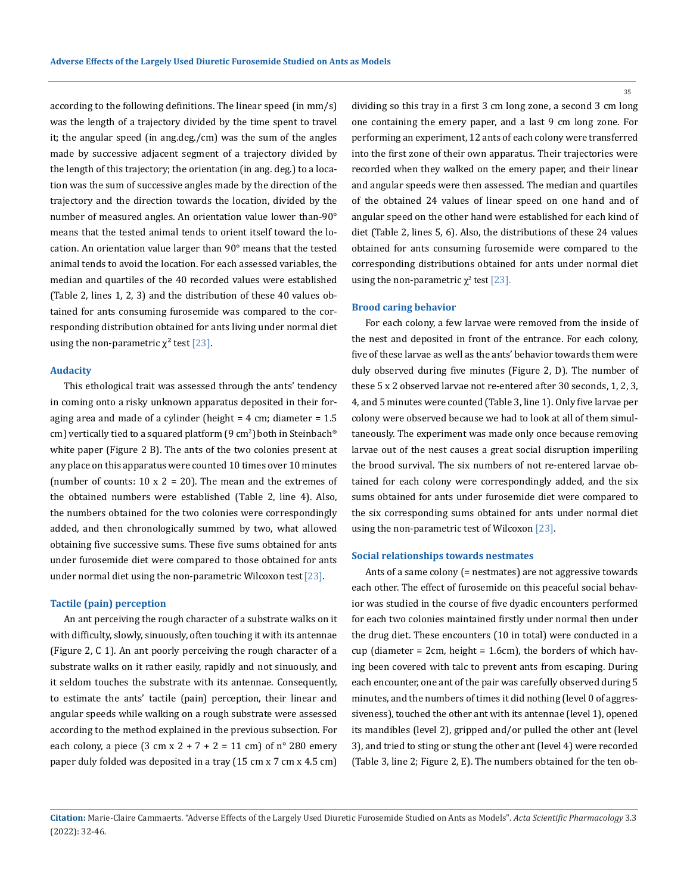according to the following definitions. The linear speed (in mm/s) was the length of a trajectory divided by the time spent to travel it; the angular speed (in ang.deg./cm) was the sum of the angles made by successive adjacent segment of a trajectory divided by the length of this trajectory; the orientation (in ang. deg.) to a location was the sum of successive angles made by the direction of the trajectory and the direction towards the location, divided by the number of measured angles. An orientation value lower than-90° means that the tested animal tends to orient itself toward the location. An orientation value larger than 90° means that the tested animal tends to avoid the location. For each assessed variables, the median and quartiles of the 40 recorded values were established (Table 2, lines 1, 2, 3) and the distribution of these 40 values obtained for ants consuming furosemide was compared to the corresponding distribution obtained for ants living under normal diet using the non-parametric  $\chi^2$  test [23].

### **Audacity**

This ethological trait was assessed through the ants' tendency in coming onto a risky unknown apparatus deposited in their foraging area and made of a cylinder (height  $= 4$  cm; diameter  $= 1.5$ cm) vertically tied to a squared platform (9 cm<sup>2</sup>) both in Steinbach® white paper (Figure 2 B). The ants of the two colonies present at any place on this apparatus were counted 10 times over 10 minutes (number of counts:  $10 \times 2 = 20$ ). The mean and the extremes of the obtained numbers were established (Table 2, line 4). Also, the numbers obtained for the two colonies were correspondingly added, and then chronologically summed by two, what allowed obtaining five successive sums. These five sums obtained for ants under furosemide diet were compared to those obtained for ants under normal diet using the non-parametric Wilcoxon test [23].

### **Tactile (pain) perception**

An ant perceiving the rough character of a substrate walks on it with difficulty, slowly, sinuously, often touching it with its antennae (Figure 2, C 1). An ant poorly perceiving the rough character of a substrate walks on it rather easily, rapidly and not sinuously, and it seldom touches the substrate with its antennae. Consequently, to estimate the ants' tactile (pain) perception, their linear and angular speeds while walking on a rough substrate were assessed according to the method explained in the previous subsection. For each colony, a piece  $(3 \text{ cm } x \text{ } 2 + 7 + 2 = 11 \text{ cm})$  of n° 280 emery paper duly folded was deposited in a tray (15 cm x 7 cm x 4.5 cm)

dividing so this tray in a first 3 cm long zone, a second 3 cm long one containing the emery paper, and a last 9 cm long zone. For performing an experiment, 12 ants of each colony were transferred into the first zone of their own apparatus. Their trajectories were recorded when they walked on the emery paper, and their linear and angular speeds were then assessed. The median and quartiles of the obtained 24 values of linear speed on one hand and of angular speed on the other hand were established for each kind of diet (Table 2, lines 5, 6). Also, the distributions of these 24 values obtained for ants consuming furosemide were compared to the corresponding distributions obtained for ants under normal diet using the non-parametric  $\chi^2$  test [23].

### **Brood caring behavior**

For each colony, a few larvae were removed from the inside of the nest and deposited in front of the entrance. For each colony, five of these larvae as well as the ants' behavior towards them were duly observed during five minutes (Figure 2, D). The number of these 5 x 2 observed larvae not re-entered after 30 seconds, 1, 2, 3, 4, and 5 minutes were counted (Table 3, line 1). Only five larvae per colony were observed because we had to look at all of them simultaneously. The experiment was made only once because removing larvae out of the nest causes a great social disruption imperiling the brood survival. The six numbers of not re-entered larvae obtained for each colony were correspondingly added, and the six sums obtained for ants under furosemide diet were compared to the six corresponding sums obtained for ants under normal diet using the non-parametric test of Wilcoxon [23].

### **Social relationships towards nestmates**

Ants of a same colony (= nestmates) are not aggressive towards each other. The effect of furosemide on this peaceful social behavior was studied in the course of five dyadic encounters performed for each two colonies maintained firstly under normal then under the drug diet. These encounters (10 in total) were conducted in a cup (diameter = 2cm, height = 1.6cm), the borders of which having been covered with talc to prevent ants from escaping. During each encounter, one ant of the pair was carefully observed during 5 minutes, and the numbers of times it did nothing (level 0 of aggressiveness), touched the other ant with its antennae (level 1), opened its mandibles (level 2), gripped and/or pulled the other ant (level 3), and tried to sting or stung the other ant (level 4) were recorded (Table 3, line 2; Figure 2, E). The numbers obtained for the ten ob-

**Citation:** Marie-Claire Cammaerts*.* "Adverse Effects of the Largely Used Diuretic Furosemide Studied on Ants as Models". *Acta Scientific Pharmacology* 3.3 (2022): 32-46.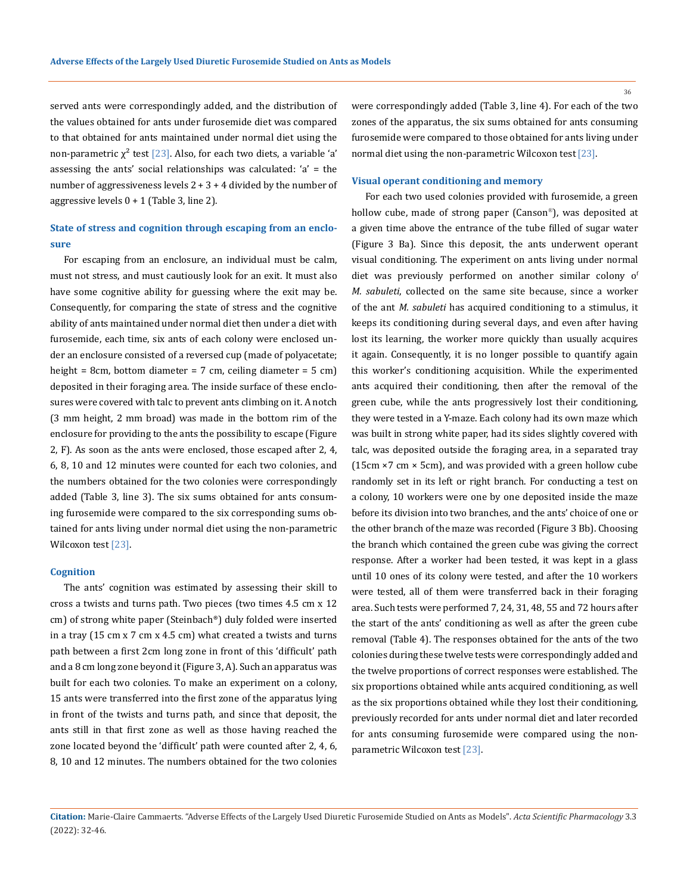served ants were correspondingly added, and the distribution of the values obtained for ants under furosemide diet was compared to that obtained for ants maintained under normal diet using the non-parametric  $\chi^2$  test [23]. Also, for each two diets, a variable 'a' assessing the ants' social relationships was calculated: 'a' = the number of aggressiveness levels  $2 + 3 + 4$  divided by the number of aggressive levels 0 + 1 (Table 3, line 2).

# **State of stress and cognition through escaping from an enclosure**

For escaping from an enclosure, an individual must be calm, must not stress, and must cautiously look for an exit. It must also have some cognitive ability for guessing where the exit may be. Consequently, for comparing the state of stress and the cognitive ability of ants maintained under normal diet then under a diet with furosemide, each time, six ants of each colony were enclosed under an enclosure consisted of a reversed cup (made of polyacetate; height = 8cm, bottom diameter = 7 cm, ceiling diameter = 5 cm) deposited in their foraging area. The inside surface of these enclosures were covered with talc to prevent ants climbing on it. A notch (3 mm height, 2 mm broad) was made in the bottom rim of the enclosure for providing to the ants the possibility to escape (Figure 2, F). As soon as the ants were enclosed, those escaped after 2, 4, 6, 8, 10 and 12 minutes were counted for each two colonies, and the numbers obtained for the two colonies were correspondingly added (Table 3, line 3). The six sums obtained for ants consuming furosemide were compared to the six corresponding sums obtained for ants living under normal diet using the non-parametric Wilcoxon test [23].

#### **Cognition**

The ants' cognition was estimated by assessing their skill to cross a twists and turns path. Two pieces (two times 4.5 cm x 12 cm) of strong white paper (Steinbach®) duly folded were inserted in a tray (15 cm x 7 cm x 4.5 cm) what created a twists and turns path between a first 2cm long zone in front of this 'difficult' path and a 8 cm long zone beyond it (Figure 3, A). Such an apparatus was built for each two colonies. To make an experiment on a colony, 15 ants were transferred into the first zone of the apparatus lying in front of the twists and turns path, and since that deposit, the ants still in that first zone as well as those having reached the zone located beyond the 'difficult' path were counted after 2, 4, 6, 8, 10 and 12 minutes. The numbers obtained for the two colonies

were correspondingly added (Table 3, line 4). For each of the two zones of the apparatus, the six sums obtained for ants consuming furosemide were compared to those obtained for ants living under normal diet using the non-parametric Wilcoxon test[23].

### **Visual operant conditioning and memory**

For each two used colonies provided with furosemide, a green hollow cube, made of strong paper (Canson®), was deposited at a given time above the entrance of the tube filled of sugar water (Figure 3 Ba). Since this deposit, the ants underwent operant visual conditioning. The experiment on ants living under normal diet was previously performed on another similar colony of *M. sabuleti*, collected on the same site because, since a worker of the ant *M. sabuleti* has acquired conditioning to a stimulus, it keeps its conditioning during several days, and even after having lost its learning, the worker more quickly than usually acquires it again. Consequently, it is no longer possible to quantify again this worker's conditioning acquisition. While the experimented ants acquired their conditioning, then after the removal of the green cube, while the ants progressively lost their conditioning, they were tested in a Y-maze. Each colony had its own maze which was built in strong white paper, had its sides slightly covered with talc, was deposited outside the foraging area, in a separated tray (15cm ×7 cm × 5cm), and was provided with a green hollow cube randomly set in its left or right branch. For conducting a test on a colony, 10 workers were one by one deposited inside the maze before its division into two branches, and the ants' choice of one or the other branch of the maze was recorded (Figure 3 Bb). Choosing the branch which contained the green cube was giving the correct response. After a worker had been tested, it was kept in a glass until 10 ones of its colony were tested, and after the 10 workers were tested, all of them were transferred back in their foraging area. Such tests were performed 7, 24, 31, 48, 55 and 72 hours after the start of the ants' conditioning as well as after the green cube removal (Table 4). The responses obtained for the ants of the two colonies during these twelve tests were correspondingly added and the twelve proportions of correct responses were established. The six proportions obtained while ants acquired conditioning, as well as the six proportions obtained while they lost their conditioning, previously recorded for ants under normal diet and later recorded for ants consuming furosemide were compared using the nonparametric Wilcoxon test [23].

**Citation:** Marie-Claire Cammaerts*.* "Adverse Effects of the Largely Used Diuretic Furosemide Studied on Ants as Models". *Acta Scientific Pharmacology* 3.3 (2022): 32-46.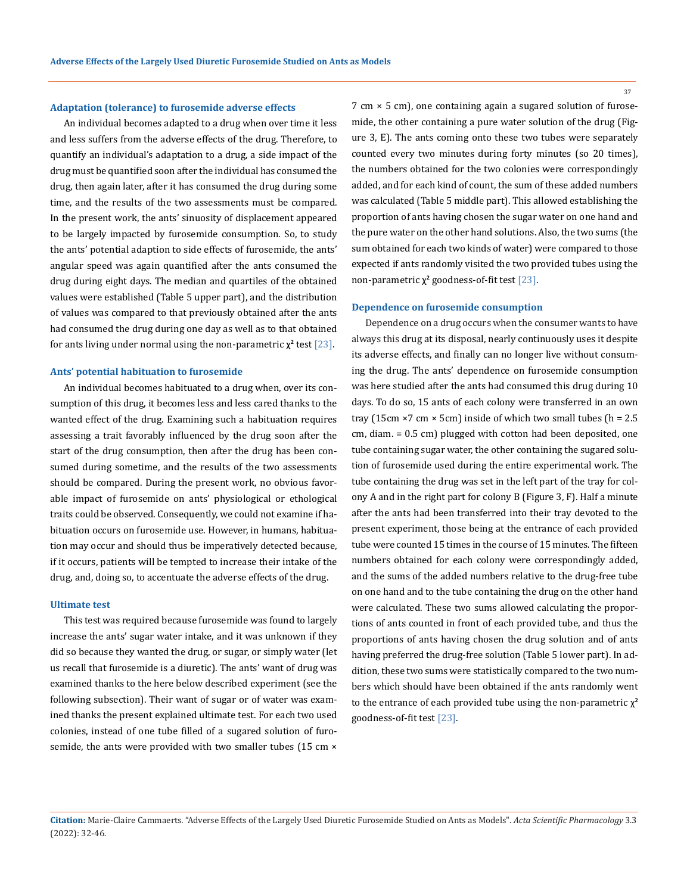### **Adaptation (tolerance) to furosemide adverse effects**

An individual becomes adapted to a drug when over time it less and less suffers from the adverse effects of the drug. Therefore, to quantify an individual's adaptation to a drug, a side impact of the drug must be quantified soon after the individual has consumed the drug, then again later, after it has consumed the drug during some time, and the results of the two assessments must be compared. In the present work, the ants' sinuosity of displacement appeared to be largely impacted by furosemide consumption. So, to study the ants' potential adaption to side effects of furosemide, the ants' angular speed was again quantified after the ants consumed the drug during eight days. The median and quartiles of the obtained values were established (Table 5 upper part), and the distribution of values was compared to that previously obtained after the ants had consumed the drug during one day as well as to that obtained for ants living under normal using the non-parametric  $\chi^2$  test [23].

### **Ants' potential habituation to furosemide**

An individual becomes habituated to a drug when, over its consumption of this drug, it becomes less and less cared thanks to the wanted effect of the drug. Examining such a habituation requires assessing a trait favorably influenced by the drug soon after the start of the drug consumption, then after the drug has been consumed during sometime, and the results of the two assessments should be compared. During the present work, no obvious favorable impact of furosemide on ants' physiological or ethological traits could be observed. Consequently, we could not examine if habituation occurs on furosemide use. However, in humans, habituation may occur and should thus be imperatively detected because, if it occurs, patients will be tempted to increase their intake of the drug, and, doing so, to accentuate the adverse effects of the drug.

#### **Ultimate test**

This test was required because furosemide was found to largely increase the ants' sugar water intake, and it was unknown if they did so because they wanted the drug, or sugar, or simply water (let us recall that furosemide is a diuretic). The ants' want of drug was examined thanks to the here below described experiment (see the following subsection). Their want of sugar or of water was examined thanks the present explained ultimate test. For each two used colonies, instead of one tube filled of a sugared solution of furosemide, the ants were provided with two smaller tubes (15 cm  $\times$ 

7 cm × 5 cm), one containing again a sugared solution of furosemide, the other containing a pure water solution of the drug (Figure 3, E). The ants coming onto these two tubes were separately counted every two minutes during forty minutes (so 20 times), the numbers obtained for the two colonies were correspondingly added, and for each kind of count, the sum of these added numbers was calculated (Table 5 middle part). This allowed establishing the proportion of ants having chosen the sugar water on one hand and the pure water on the other hand solutions. Also, the two sums (the sum obtained for each two kinds of water) were compared to those expected if ants randomly visited the two provided tubes using the non-parametric  $χ²$  goodness-of-fit test [23].

### **Dependence on furosemide consumption**

Dependence on a drug occurs when the consumer wants to have always this drug at its disposal, nearly continuously uses it despite its adverse effects, and finally can no longer live without consuming the drug. The ants' dependence on furosemide consumption was here studied after the ants had consumed this drug during 10 days. To do so, 15 ants of each colony were transferred in an own tray (15cm  $\times$ 7 cm  $\times$  5cm) inside of which two small tubes (h = 2.5 cm, diam. = 0.5 cm) plugged with cotton had been deposited, one tube containing sugar water, the other containing the sugared solution of furosemide used during the entire experimental work. The tube containing the drug was set in the left part of the tray for colony A and in the right part for colony B (Figure 3, F). Half a minute after the ants had been transferred into their tray devoted to the present experiment, those being at the entrance of each provided tube were counted 15 times in the course of 15 minutes. The fifteen numbers obtained for each colony were correspondingly added, and the sums of the added numbers relative to the drug-free tube on one hand and to the tube containing the drug on the other hand were calculated. These two sums allowed calculating the proportions of ants counted in front of each provided tube, and thus the proportions of ants having chosen the drug solution and of ants having preferred the drug-free solution (Table 5 lower part). In addition, these two sums were statistically compared to the two numbers which should have been obtained if the ants randomly went to the entrance of each provided tube using the non-parametric  $\chi^2$ goodness-of-fit test [23].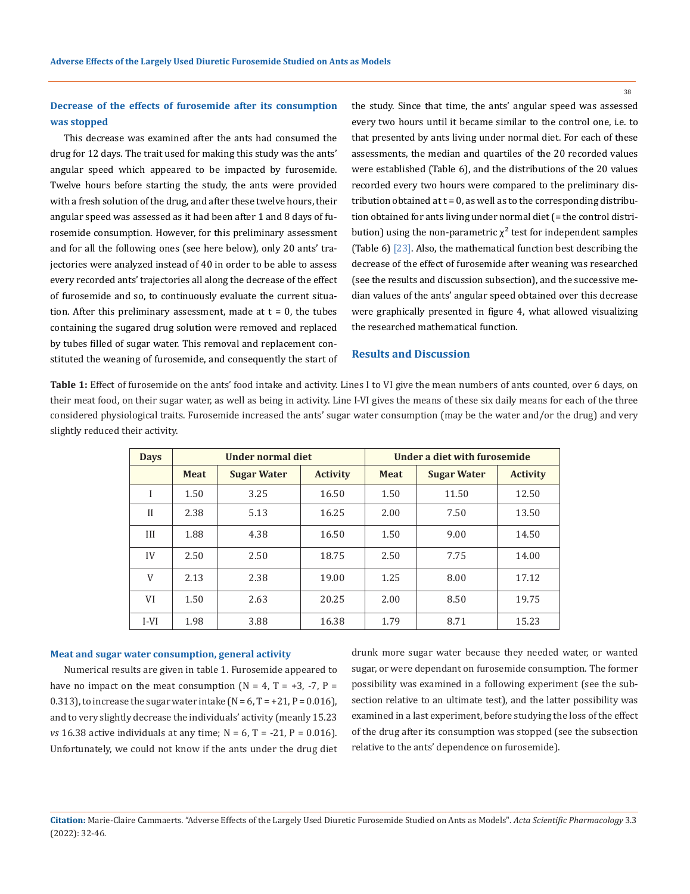**Decrease of the effects of furosemide after its consumption was stopped**

This decrease was examined after the ants had consumed the drug for 12 days. The trait used for making this study was the ants' angular speed which appeared to be impacted by furosemide. Twelve hours before starting the study, the ants were provided with a fresh solution of the drug, and after these twelve hours, their angular speed was assessed as it had been after 1 and 8 days of furosemide consumption. However, for this preliminary assessment and for all the following ones (see here below), only 20 ants' trajectories were analyzed instead of 40 in order to be able to assess every recorded ants' trajectories all along the decrease of the effect of furosemide and so, to continuously evaluate the current situation. After this preliminary assessment, made at  $t = 0$ , the tubes containing the sugared drug solution were removed and replaced by tubes filled of sugar water. This removal and replacement constituted the weaning of furosemide, and consequently the start of the study. Since that time, the ants' angular speed was assessed every two hours until it became similar to the control one, i.e. to that presented by ants living under normal diet. For each of these assessments, the median and quartiles of the 20 recorded values were established (Table 6), and the distributions of the 20 values recorded every two hours were compared to the preliminary distribution obtained at  $t = 0$ , as well as to the corresponding distribution obtained for ants living under normal diet (= the control distribution) using the non-parametric  $\chi^2$  test for independent samples (Table 6) [23]. Also, the mathematical function best describing the decrease of the effect of furosemide after weaning was researched (see the results and discussion subsection), and the successive median values of the ants' angular speed obtained over this decrease were graphically presented in figure 4, what allowed visualizing the researched mathematical function.

### **Results and Discussion**

**Table 1:** Effect of furosemide on the ants' food intake and activity. Lines I to VI give the mean numbers of ants counted, over 6 days, on their meat food, on their sugar water, as well as being in activity. Line I-VI gives the means of these six daily means for each of the three considered physiological traits. Furosemide increased the ants' sugar water consumption (may be the water and/or the drug) and very slightly reduced their activity.

| <b>Days</b>  | Under normal diet |                    | Under a diet with furosemide |             |                    |                 |
|--------------|-------------------|--------------------|------------------------------|-------------|--------------------|-----------------|
|              | <b>Meat</b>       | <b>Sugar Water</b> | <b>Activity</b>              | <b>Meat</b> | <b>Sugar Water</b> | <b>Activity</b> |
| I            | 1.50              | 3.25               | 16.50                        | 1.50        | 11.50              | 12.50           |
| $\mathbf{H}$ | 2.38              | 5.13               | 16.25                        | 2.00        | 7.50               | 13.50           |
| III          | 1.88              | 4.38               | 16.50                        | 1.50        | 9.00               | 14.50           |
| IV           | 2.50              | 2.50               | 18.75                        | 2.50        | 7.75               | 14.00           |
| V            | 2.13              | 2.38               | 19.00                        | 1.25        | 8.00               | 17.12           |
| VI           | 1.50              | 2.63               | 20.25                        | 2.00        | 8.50               | 19.75           |
| $I-VI$       | 1.98              | 3.88               | 16.38                        | 1.79        | 8.71               | 15.23           |

#### **Meat and sugar water consumption, general activity**

Numerical results are given in table 1. Furosemide appeared to have no impact on the meat consumption  $(N = 4, T = +3, -7, P =$ 0.313), to increase the sugar water intake ( $N = 6$ ,  $T = +21$ ,  $P = 0.016$ ), and to very slightly decrease the individuals' activity (meanly 15.23 *vs* 16.38 active individuals at any time;  $N = 6$ ,  $T = -21$ ,  $P = 0.016$ . Unfortunately, we could not know if the ants under the drug diet drunk more sugar water because they needed water, or wanted sugar, or were dependant on furosemide consumption. The former possibility was examined in a following experiment (see the subsection relative to an ultimate test), and the latter possibility was examined in a last experiment, before studying the loss of the effect of the drug after its consumption was stopped (see the subsection relative to the ants' dependence on furosemide).

**Citation:** Marie-Claire Cammaerts*.* "Adverse Effects of the Largely Used Diuretic Furosemide Studied on Ants as Models". *Acta Scientific Pharmacology* 3.3 (2022): 32-46.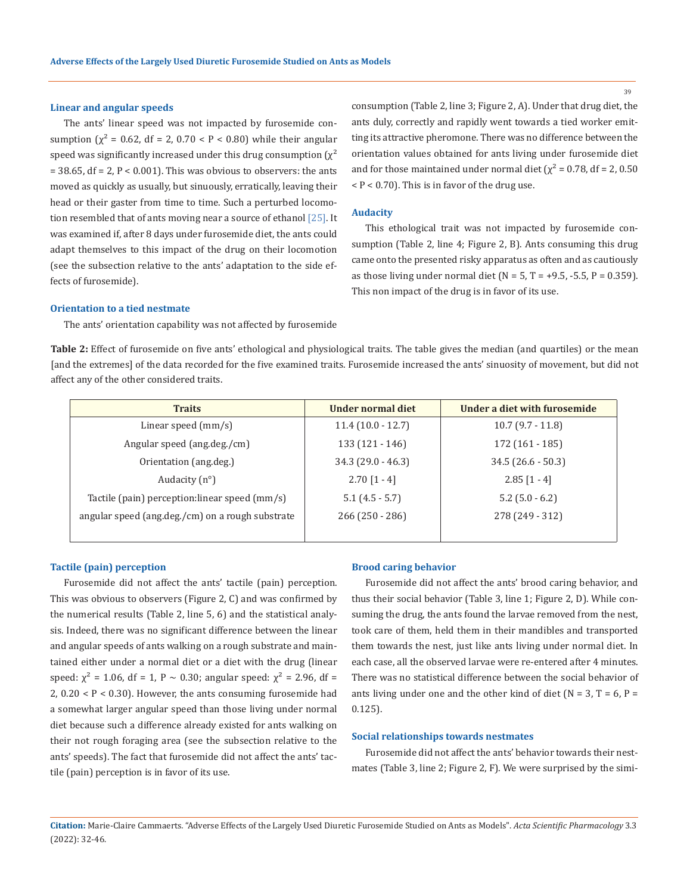### **Linear and angular speeds**

The ants' linear speed was not impacted by furosemide consumption  $(x^2 = 0.62$ , df = 2, 0.70 < P < 0.80) while their angular speed was significantly increased under this drug consumption  $(\chi^2)$  $= 38.65$ , df  $= 2$ ,  $P < 0.001$ ). This was obvious to observers: the ants moved as quickly as usually, but sinuously, erratically, leaving their head or their gaster from time to time. Such a perturbed locomotion resembled that of ants moving near a source of ethanol [25]. It was examined if, after 8 days under furosemide diet, the ants could adapt themselves to this impact of the drug on their locomotion (see the subsection relative to the ants' adaptation to the side effects of furosemide).

consumption (Table 2, line 3; Figure 2, A). Under that drug diet, the ants duly, correctly and rapidly went towards a tied worker emitting its attractive pheromone. There was no difference between the orientation values obtained for ants living under furosemide diet and for those maintained under normal diet ( $\chi^2$  = 0.78, df = 2, 0.50  $P < 0.70$ ). This is in favor of the drug use.

#### **Audacity**

This ethological trait was not impacted by furosemide consumption (Table 2, line 4; Figure 2, B). Ants consuming this drug came onto the presented risky apparatus as often and as cautiously as those living under normal diet ( $N = 5$ ,  $T = +9.5$ ,  $-5.5$ ,  $P = 0.359$ ). This non impact of the drug is in favor of its use.

### **Orientation to a tied nestmate**

The ants' orientation capability was not affected by furosemide

**Table 2:** Effect of furosemide on five ants' ethological and physiological traits. The table gives the median (and quartiles) or the mean [and the extremes] of the data recorded for the five examined traits. Furosemide increased the ants' sinuosity of movement, but did not affect any of the other considered traits.

| <b>Traits</b>                                    | Under normal diet    | Under a diet with furosemide |
|--------------------------------------------------|----------------------|------------------------------|
| Linear speed $(mm/s)$                            | $11.4(10.0 - 12.7)$  | $10.7(9.7 - 11.8)$           |
| Angular speed (ang.deg./cm)                      | $133(121 - 146)$     | $172(161 - 185)$             |
| Orientation (ang.deg.)                           | $34.3$ (29.0 - 46.3) | $34.5(26.6-50.3)$            |
| Audacity $(n^{\circ})$                           | $2.70$ [1 - 4]       | $2.85$ [1 - 4]               |
| Tactile (pain) perception: linear speed (mm/s)   | $5.1(4.5-5.7)$       | $5.2$ (5.0 - 6.2)            |
| angular speed (ang.deg./cm) on a rough substrate | $266(250 - 286)$     | 278 (249 - 312)              |
|                                                  |                      |                              |

#### **Tactile (pain) perception**

Furosemide did not affect the ants' tactile (pain) perception. This was obvious to observers (Figure 2, C) and was confirmed by the numerical results (Table 2, line 5, 6) and the statistical analysis. Indeed, there was no significant difference between the linear and angular speeds of ants walking on a rough substrate and maintained either under a normal diet or a diet with the drug (linear speed:  $\chi^2$  = 1.06, df = 1, P ~ 0.30; angular speed:  $\chi^2$  = 2.96, df =  $2, 0.20 < P < 0.30$ ). However, the ants consuming furosemide had a somewhat larger angular speed than those living under normal diet because such a difference already existed for ants walking on their not rough foraging area (see the subsection relative to the ants' speeds). The fact that furosemide did not affect the ants' tactile (pain) perception is in favor of its use.

### **Brood caring behavior**

Furosemide did not affect the ants' brood caring behavior, and thus their social behavior (Table 3, line 1; Figure 2, D). While consuming the drug, the ants found the larvae removed from the nest, took care of them, held them in their mandibles and transported them towards the nest, just like ants living under normal diet. In each case, all the observed larvae were re-entered after 4 minutes. There was no statistical difference between the social behavior of ants living under one and the other kind of diet ( $N = 3$ ,  $T = 6$ ,  $P =$ 0.125).

#### **Social relationships towards nestmates**

Furosemide did not affect the ants' behavior towards their nestmates (Table 3, line 2; Figure 2, F). We were surprised by the simi-

**Citation:** Marie-Claire Cammaerts*.* "Adverse Effects of the Largely Used Diuretic Furosemide Studied on Ants as Models". *Acta Scientific Pharmacology* 3.3 (2022): 32-46.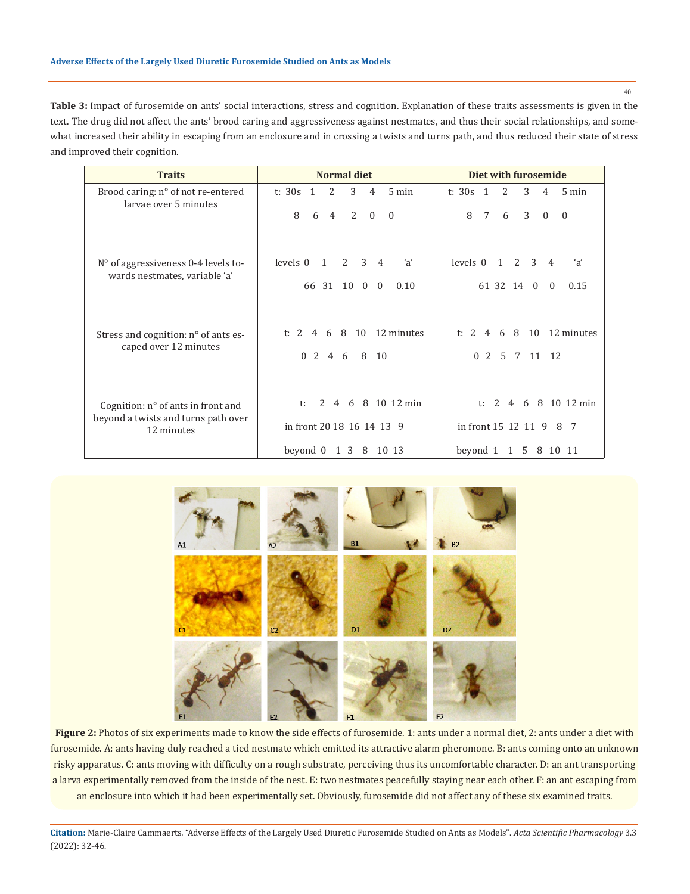40

**Table 3:** Impact of furosemide on ants' social interactions, stress and cognition. Explanation of these traits assessments is given in the text. The drug did not affect the ants' brood caring and aggressiveness against nestmates, and thus their social relationships, and somewhat increased their ability in escaping from an enclosure and in crossing a twists and turns path, and thus reduced their state of stress and improved their cognition.

| <b>Traits</b>                                               | <b>Normal diet</b>                                         | Diet with furosemide                                        |  |  |
|-------------------------------------------------------------|------------------------------------------------------------|-------------------------------------------------------------|--|--|
| Brood caring: n° of not re-entered<br>larvae over 5 minutes | 3<br>t: $30s$ 1<br>2<br>$5 \text{ min}$<br>$\overline{4}$  | 3<br>t: $30s$ 1<br>2<br>$5 \text{ min}$<br>$\overline{4}$   |  |  |
|                                                             | 8<br>6<br>2<br>$\Omega$<br>$\overline{4}$<br>$\theta$      | 3<br>8<br>7<br>6<br>$\mathbf{0}$<br>$\Omega$                |  |  |
| N° of aggressiveness 0-4 levels to-                         | 3<br>levels 0<br>$2^{\circ}$<br>'a'<br>1<br>$\overline{4}$ | levels 0<br>'a'<br>$\overline{2}$<br>3<br>$\mathbf{1}$<br>4 |  |  |
| wards nestmates, variable 'a'                               | 10 0<br>66 31<br>0.10<br>$\overline{0}$                    | 61 32 14 0<br>0.15<br>$\Omega$                              |  |  |
| Stress and cognition: n° of ants es-                        | 8 10 12 minutes<br>t: 2<br>6<br>$\overline{4}$             | 6 8 10 12 minutes<br>t: $2$<br>$\overline{4}$               |  |  |
| caped over 12 minutes                                       | $\Omega$<br>$2\quad 4\quad 6$<br>8<br>10                   | $\Omega$<br>2 5 7 11 12                                     |  |  |
| Cognition: n° of ants in front and                          | 6 8 10 12 min<br>2<br>$t$ :<br>4                           | 6 8 10 12 min<br>2 4<br>t:                                  |  |  |
| beyond a twists and turns path over<br>12 minutes           | in front 20 18 16 14 13 9                                  | in front 15 12 11 9<br>8<br>-7                              |  |  |
|                                                             | beyond 0<br>1 3 8 10 13                                    | beyond 1 1 5 8 10 11                                        |  |  |



**Figure 2:** Photos of six experiments made to know the side effects of furosemide. 1: ants under a normal diet, 2: ants under a diet with furosemide. A: ants having duly reached a tied nestmate which emitted its attractive alarm pheromone. B: ants coming onto an unknown risky apparatus. C: ants moving with difficulty on a rough substrate, perceiving thus its uncomfortable character. D: an ant transporting a larva experimentally removed from the inside of the nest. E: two nestmates peacefully staying near each other. F: an ant escaping from an enclosure into which it had been experimentally set. Obviously, furosemide did not affect any of these six examined traits.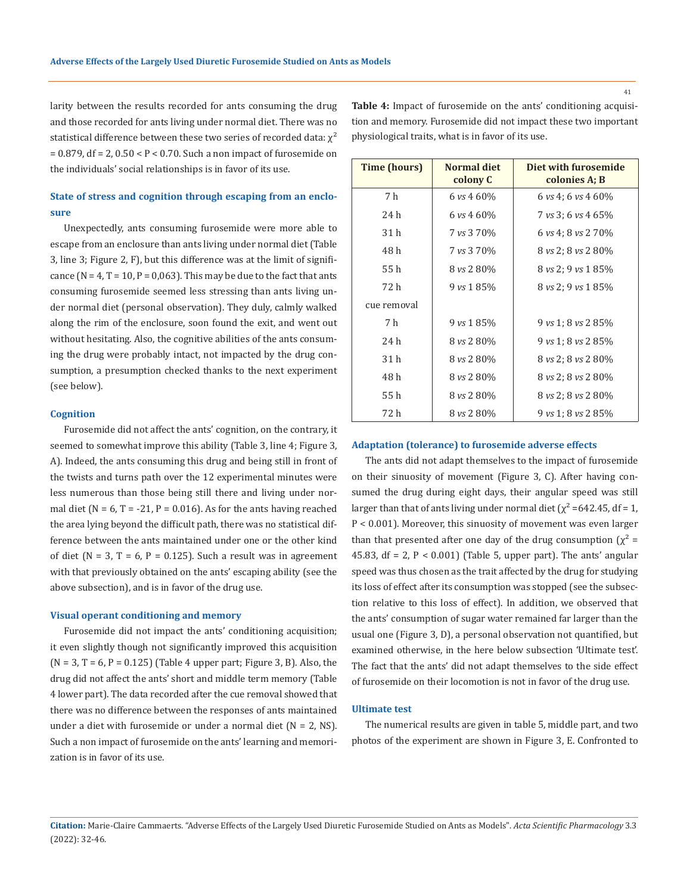larity between the results recorded for ants consuming the drug and those recorded for ants living under normal diet. There was no statistical difference between these two series of recorded data:  $\chi^2$ = 0.879, df = 2, 0.50 < P < 0.70. Such a non impact of furosemide on the individuals' social relationships is in favor of its use.

# **State of stress and cognition through escaping from an enclosure**

Unexpectedly, ants consuming furosemide were more able to escape from an enclosure than ants living under normal diet (Table 3, line 3; Figure 2, F), but this difference was at the limit of significance ( $N = 4$ ,  $T = 10$ ,  $P = 0.063$ ). This may be due to the fact that ants consuming furosemide seemed less stressing than ants living under normal diet (personal observation). They duly, calmly walked along the rim of the enclosure, soon found the exit, and went out without hesitating. Also, the cognitive abilities of the ants consuming the drug were probably intact, not impacted by the drug consumption, a presumption checked thanks to the next experiment (see below).

#### **Cognition**

Furosemide did not affect the ants' cognition, on the contrary, it seemed to somewhat improve this ability (Table 3, line 4; Figure 3, A). Indeed, the ants consuming this drug and being still in front of the twists and turns path over the 12 experimental minutes were less numerous than those being still there and living under normal diet ( $N = 6$ ,  $T = -21$ ,  $P = 0.016$ ). As for the ants having reached the area lying beyond the difficult path, there was no statistical difference between the ants maintained under one or the other kind of diet ( $N = 3$ ,  $T = 6$ ,  $P = 0.125$ ). Such a result was in agreement with that previously obtained on the ants' escaping ability (see the above subsection), and is in favor of the drug use.

#### **Visual operant conditioning and memory**

Furosemide did not impact the ants' conditioning acquisition; it even slightly though not significantly improved this acquisition  $(N = 3, T = 6, P = 0.125)$  (Table 4 upper part; Figure 3, B). Also, the drug did not affect the ants' short and middle term memory (Table 4 lower part). The data recorded after the cue removal showed that there was no difference between the responses of ants maintained under a diet with furosemide or under a normal diet  $(N = 2, NS)$ . Such a non impact of furosemide on the ants' learning and memorization is in favor of its use.

**Table 4:** Impact of furosemide on the ants' conditioning acquisition and memory. Furosemide did not impact these two important physiological traits, what is in favor of its use.

| <b>Adaptation (tolerance) to furosemide adverse effects</b> |  |  |  |
|-------------------------------------------------------------|--|--|--|
|                                                             |  |  |  |

The ants did not adapt themselves to the impact of furosemide on their sinuosity of movement (Figure 3, C). After having consumed the drug during eight days, their angular speed was still larger than that of ants living under normal diet ( $\chi^2$  =642.45, df = 1, P < 0.001). Moreover, this sinuosity of movement was even larger than that presented after one day of the drug consumption  $(\chi^2 =$ 45.83, df = 2,  $P < 0.001$ ) (Table 5, upper part). The ants' angular speed was thus chosen as the trait affected by the drug for studying its loss of effect after its consumption was stopped (see the subsection relative to this loss of effect). In addition, we observed that the ants' consumption of sugar water remained far larger than the usual one (Figure 3, D), a personal observation not quantified, but examined otherwise, in the here below subsection 'Ultimate test'. The fact that the ants' did not adapt themselves to the side effect of furosemide on their locomotion is not in favor of the drug use.

### **Ultimate test**

The numerical results are given in table 5, middle part, and two photos of the experiment are shown in Figure 3, E. Confronted to

| Time (hours) | <b>Normal diet</b><br>colony C | Diet with furosemide<br>colonies A; B |
|--------------|--------------------------------|---------------------------------------|
| 7 h          | 6 vs 4 60%                     | 6 vs 4; 6 vs 4 60\%                   |
| 24 h         | 6 vs 4 60%                     | 7 vs 3; 6 vs 4 65%                    |
| 31 h         | 7 vs 3 70%                     | 6 vs 4; 8 vs 2 70%                    |
| 48 h         | 7 vs 3 70%                     | 8 vs 2; 8 vs 2 80%                    |
| 55 h         | 8 vs 2 80%                     | 8 vs 2; 9 vs 1 85%                    |
| 72 h         | $9 \text{ vs } 185\%$          | 8 vs 2; 9 vs 1 85%                    |
| cue removal  |                                |                                       |
| 7 h          | $9 \text{ vs } 185\%$          | 9 vs 1; 8 vs 2 85\%                   |
| 24 h         | 8 vs 2 80%                     | 9 vs 1; 8 vs 2 85%                    |
| 31 h         | 8 vs 2 80%                     | 8 vs 2; 8 vs 2 80%                    |
| 48 h         | 8 vs 2 80%                     | 8 vs 2; 8 vs 2 80%                    |
| 55 h         | 8 vs 2 80%                     | 8 vs 2; 8 vs 2 80%                    |
| 72 h         | 8 vs 2 80%                     | 9 vs 1; 8 vs 2 85%                    |

**Citation:** Marie-Claire Cammaerts*.* "Adverse Effects of the Largely Used Diuretic Furosemide Studied on Ants as Models". *Acta Scientific Pharmacology* 3.3 (2022): 32-46.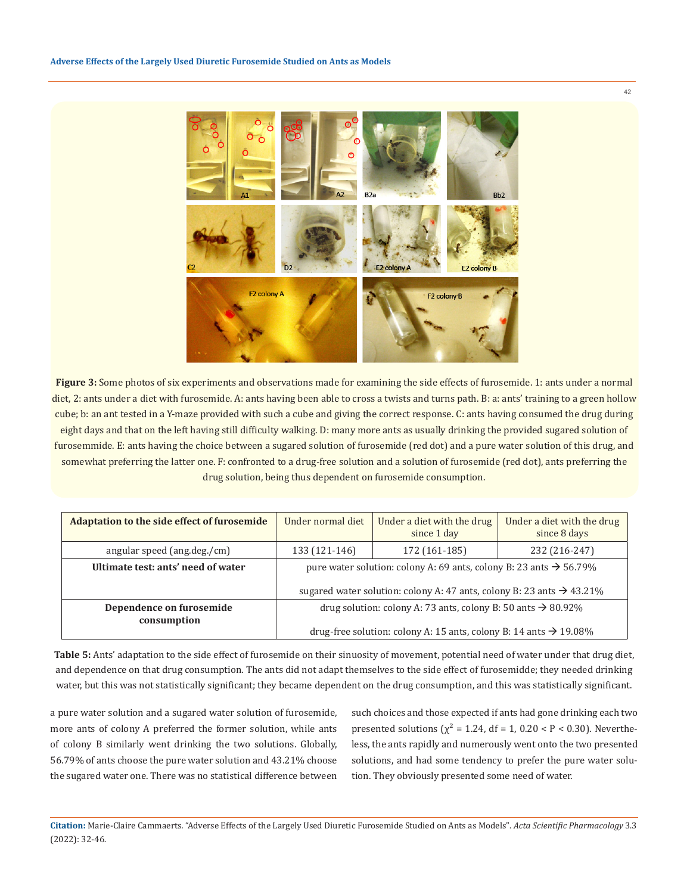

**Figure 3:** Some photos of six experiments and observations made for examining the side effects of furosemide. 1: ants under a normal diet, 2: ants under a diet with furosemide. A: ants having been able to cross a twists and turns path. B: a: ants' training to a green hollow cube; b: an ant tested in a Y-maze provided with such a cube and giving the correct response. C: ants having consumed the drug during eight days and that on the left having still difficulty walking. D: many more ants as usually drinking the provided sugared solution of furosemmide. E: ants having the choice between a sugared solution of furosemide (red dot) and a pure water solution of this drug, and somewhat preferring the latter one. F: confronted to a drug-free solution and a solution of furosemide (red dot), ants preferring the drug solution, being thus dependent on furosemide consumption.

| Adaptation to the side effect of furosemide | Under normal diet                                                                                                                                                   | Under a diet with the drug<br>since 1 day | Under a diet with the drug<br>since 8 days |
|---------------------------------------------|---------------------------------------------------------------------------------------------------------------------------------------------------------------------|-------------------------------------------|--------------------------------------------|
| angular speed (ang.deg./cm)                 | 133 (121-146)                                                                                                                                                       | 172 (161-185)                             | 232 (216-247)                              |
| Ultimate test: ants' need of water          | pure water solution: colony A: 69 ants, colony B: 23 ants $\rightarrow$ 56.79%<br>sugared water solution: colony A: 47 ants, colony B: 23 ants $\rightarrow$ 43.21% |                                           |                                            |
| Dependence on furosemide<br>consumption     | drug solution: colony A: 73 ants, colony B: 50 ants $\rightarrow$ 80.92%<br>drug-free solution: colony A: 15 ants, colony B: 14 ants $\rightarrow$ 19.08%           |                                           |                                            |

**Table 5:** Ants' adaptation to the side effect of furosemide on their sinuosity of movement, potential need of water under that drug diet, and dependence on that drug consumption. The ants did not adapt themselves to the side effect of furosemidde; they needed drinking water, but this was not statistically significant; they became dependent on the drug consumption, and this was statistically significant.

a pure water solution and a sugared water solution of furosemide, more ants of colony A preferred the former solution, while ants of colony B similarly went drinking the two solutions. Globally, 56.79% of ants choose the pure water solution and 43.21% choose the sugared water one. There was no statistical difference between

such choices and those expected if ants had gone drinking each two presented solutions ( $\chi^2$  = 1.24, df = 1, 0.20 < P < 0.30). Nevertheless, the ants rapidly and numerously went onto the two presented solutions, and had some tendency to prefer the pure water solution. They obviously presented some need of water.

**Citation:** Marie-Claire Cammaerts*.* "Adverse Effects of the Largely Used Diuretic Furosemide Studied on Ants as Models". *Acta Scientific Pharmacology* 3.3 (2022): 32-46.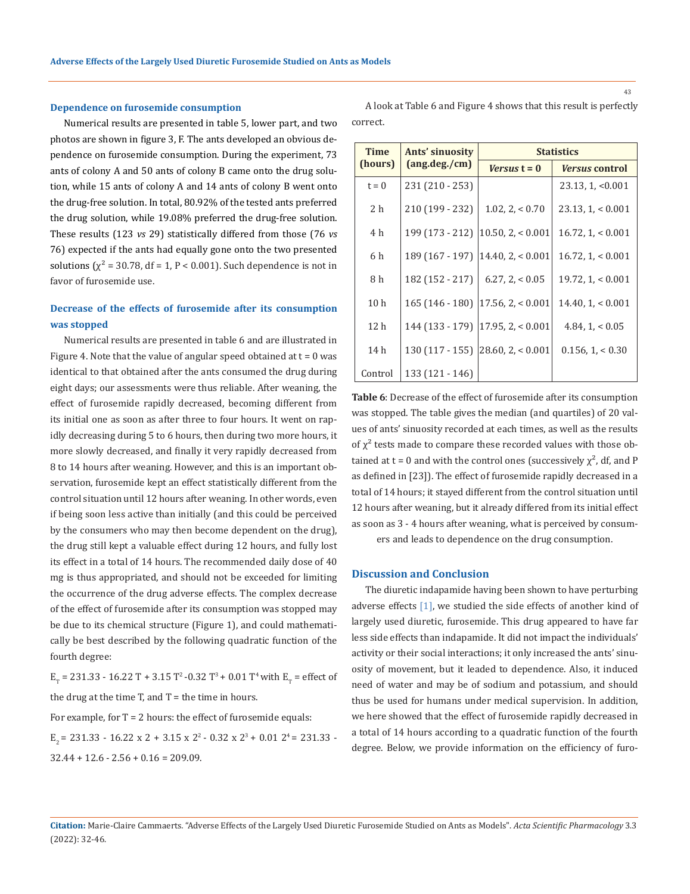### **Dependence on furosemide consumption**

Numerical results are presented in table 5, lower part, and two photos are shown in figure 3, F. The ants developed an obvious dependence on furosemide consumption. During the experiment, 73 ants of colony A and 50 ants of colony B came onto the drug solution, while 15 ants of colony A and 14 ants of colony B went onto the drug-free solution. In total, 80.92% of the tested ants preferred the drug solution, while 19.08% preferred the drug-free solution. These results (123 *vs* 29) statistically differed from those (76 *vs*  76) expected if the ants had equally gone onto the two presented solutions ( $\chi^2$  = 30.78, df = 1, P < 0.001). Such dependence is not in favor of furosemide use.

# **Decrease of the effects of furosemide after its consumption was stopped**

Numerical results are presented in table 6 and are illustrated in Figure 4. Note that the value of angular speed obtained at  $t = 0$  was identical to that obtained after the ants consumed the drug during eight days; our assessments were thus reliable. After weaning, the effect of furosemide rapidly decreased, becoming different from its initial one as soon as after three to four hours. It went on rapidly decreasing during 5 to 6 hours, then during two more hours, it more slowly decreased, and finally it very rapidly decreased from 8 to 14 hours after weaning. However, and this is an important observation, furosemide kept an effect statistically different from the control situation until 12 hours after weaning. In other words, even if being soon less active than initially (and this could be perceived by the consumers who may then become dependent on the drug), the drug still kept a valuable effect during 12 hours, and fully lost its effect in a total of 14 hours. The recommended daily dose of 40 mg is thus appropriated, and should not be exceeded for limiting the occurrence of the drug adverse effects. The complex decrease of the effect of furosemide after its consumption was stopped may be due to its chemical structure (Figure 1), and could mathematically be best described by the following quadratic function of the fourth degree:

 $E_{\tau}$  = 231.33 - 16.22 T + 3.15 T<sup>2</sup> -0.32 T<sup>3</sup> + 0.01 T<sup>4</sup> with  $E_{\tau}$  = effect of the drug at the time  $T$ , and  $T =$  the time in hours.

For example, for  $T = 2$  hours: the effect of furosemide equals:

 $E_2$  = 231.33 - 16.22 x 2 + 3.15 x 2<sup>2</sup> - 0.32 x 2<sup>3</sup> + 0.01 2<sup>4</sup> = 231.33 - $32.44 + 12.6 - 2.56 + 0.16 = 209.09$ .

A look at Table 6 and Figure 4 shows that this result is perfectly correct.

| Time            | Ants' sinuosity | <b>Statistics</b>                         |                       |  |  |
|-----------------|-----------------|-------------------------------------------|-----------------------|--|--|
| (hours)         | (ang.deg./cm)   | <i>Versus</i> $t = 0$                     | <i>Versus</i> control |  |  |
| $t = 0$         | 231 (210 - 253) |                                           | 23.13, 1, <0.001      |  |  |
| 2 h             | 210 (199 - 232) | 1.02, 2, 5.70                             | 23.13, 1, 50.001      |  |  |
| 4 h             | 199 (173 - 212) | $10.50$ , 2, < 0.001                      | 16.72, 1, < 0.001     |  |  |
| 6 h             |                 | 189 (167 - 197) $\vert$ 14.40, 2, < 0.001 | 16.72, 1, 50.001      |  |  |
| 8 h             | 182 (152 - 217) | $6.27.2 \le 0.05$                         | 19.72, 1, < 0.001     |  |  |
| 10 <sub>h</sub> | $165(146-180)$  | 17.56, 2  < 0.001                         | 14.40, 1, < 0.001     |  |  |
| 12 <sub>h</sub> |                 | $144(133 - 179)$   17.95, 2, < 0.001      | 4.84, 1, < 0.05       |  |  |
| 14 h            |                 | $130(117-155)$ $ 28.60, 2  < 0.001$       | $0.156$ , $1 < 0.30$  |  |  |
| Control         | 133 (121 - 146) |                                           |                       |  |  |

**Table 6**: Decrease of the effect of furosemide after its consumption was stopped. The table gives the median (and quartiles) of 20 values of ants' sinuosity recorded at each times, as well as the results of  $\chi^2$  tests made to compare these recorded values with those obtained at t = 0 and with the control ones (successively  $\chi^2$ , df, and P as defined in [23]). The effect of furosemide rapidly decreased in a total of 14 hours; it stayed different from the control situation until 12 hours after weaning, but it already differed from its initial effect as soon as 3 - 4 hours after weaning, what is perceived by consum-

ers and leads to dependence on the drug consumption.

### **Discussion and Conclusion**

The diuretic indapamide having been shown to have perturbing adverse effects [1], we studied the side effects of another kind of largely used diuretic, furosemide. This drug appeared to have far less side effects than indapamide. It did not impact the individuals' activity or their social interactions; it only increased the ants' sinuosity of movement, but it leaded to dependence. Also, it induced need of water and may be of sodium and potassium, and should thus be used for humans under medical supervision. In addition, we here showed that the effect of furosemide rapidly decreased in a total of 14 hours according to a quadratic function of the fourth degree. Below, we provide information on the efficiency of furo-

**Citation:** Marie-Claire Cammaerts*.* "Adverse Effects of the Largely Used Diuretic Furosemide Studied on Ants as Models". *Acta Scientific Pharmacology* 3.3 (2022): 32-46.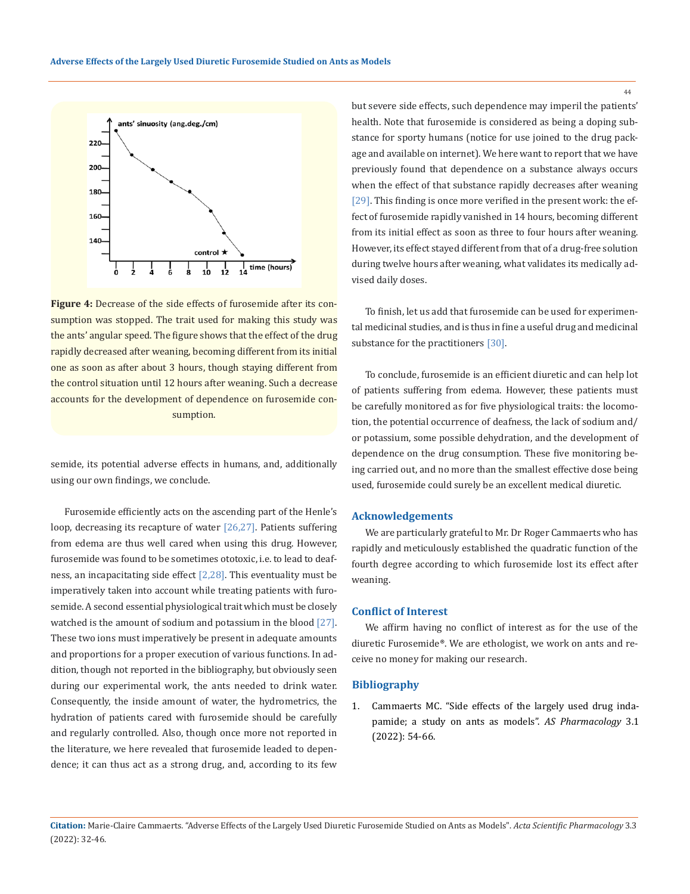

**Figure 4:** Decrease of the side effects of furosemide after its consumption was stopped. The trait used for making this study was the ants' angular speed. The figure shows that the effect of the drug rapidly decreased after weaning, becoming different from its initial one as soon as after about 3 hours, though staying different from the control situation until 12 hours after weaning. Such a decrease accounts for the development of dependence on furosemide consumption.

semide, its potential adverse effects in humans, and, additionally using our own findings, we conclude.

Furosemide efficiently acts on the ascending part of the Henle's loop, decreasing its recapture of water [26,27]. Patients suffering from edema are thus well cared when using this drug. However, furosemide was found to be sometimes ototoxic, i.e. to lead to deafness, an incapacitating side effect [2,28]. This eventuality must be imperatively taken into account while treating patients with furosemide. A second essential physiological trait which must be closely watched is the amount of sodium and potassium in the blood [27]. These two ions must imperatively be present in adequate amounts and proportions for a proper execution of various functions. In addition, though not reported in the bibliography, but obviously seen during our experimental work, the ants needed to drink water. Consequently, the inside amount of water, the hydrometrics, the hydration of patients cared with furosemide should be carefully and regularly controlled. Also, though once more not reported in the literature, we here revealed that furosemide leaded to dependence; it can thus act as a strong drug, and, according to its few

but severe side effects, such dependence may imperil the patients' health. Note that furosemide is considered as being a doping substance for sporty humans (notice for use joined to the drug package and available on internet). We here want to report that we have previously found that dependence on a substance always occurs when the effect of that substance rapidly decreases after weaning [29]. This finding is once more verified in the present work: the effect of furosemide rapidly vanished in 14 hours, becoming different from its initial effect as soon as three to four hours after weaning. However, its effect stayed different from that of a drug-free solution during twelve hours after weaning, what validates its medically advised daily doses.

To finish, let us add that furosemide can be used for experimental medicinal studies, and is thus in fine a useful drug and medicinal substance for the practitioners [30].

To conclude, furosemide is an efficient diuretic and can help lot of patients suffering from edema. However, these patients must be carefully monitored as for five physiological traits: the locomotion, the potential occurrence of deafness, the lack of sodium and/ or potassium, some possible dehydration, and the development of dependence on the drug consumption. These five monitoring being carried out, and no more than the smallest effective dose being used, furosemide could surely be an excellent medical diuretic.

### **Acknowledgements**

We are particularly grateful to Mr. Dr Roger Cammaerts who has rapidly and meticulously established the quadratic function of the fourth degree according to which furosemide lost its effect after weaning.

### **Conflict of Interest**

We affirm having no conflict of interest as for the use of the diuretic Furosemide®. We are ethologist, we work on ants and receive no money for making our research.

## **Bibliography**

1. [Cammaerts MC. "Side effects of the largely used drug inda](http://medcraveonline.com/MOJBM/side-effects-of-drugs-studied-on-ant-models-a-mini-review.html)[pamide; a study on ants as models".](http://medcraveonline.com/MOJBM/side-effects-of-drugs-studied-on-ant-models-a-mini-review.html) *AS Pharmacology* 3.1 [\(2022\): 54-66.](http://medcraveonline.com/MOJBM/side-effects-of-drugs-studied-on-ant-models-a-mini-review.html)

**Citation:** Marie-Claire Cammaerts*.* "Adverse Effects of the Largely Used Diuretic Furosemide Studied on Ants as Models". *Acta Scientific Pharmacology* 3.3 (2022): 32-46.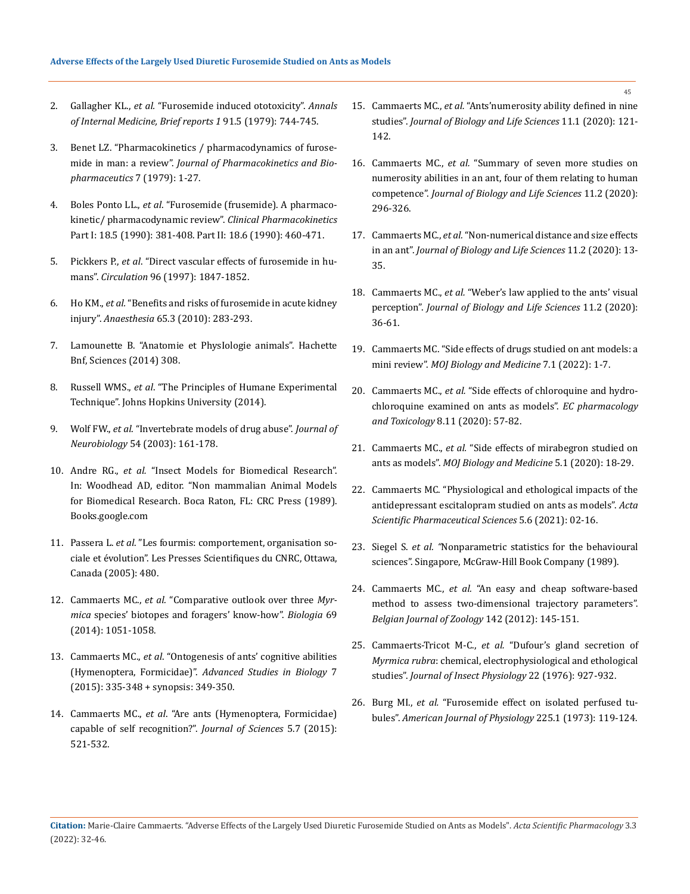- 2. Gallagher KL., *et al.* ["Furosemide induced ototoxicity".](https://doi.org/10.7326/0003-4819-91-5-744) *Annals [of Internal Medicine, Brief reports 1](https://doi.org/10.7326/0003-4819-91-5-744)* 91.5 (1979): 744-745.
- 3. [Benet LZ. "Pharmacokinetics / pharmacodynamics of furose](https://link.springer.com/article/10.1007/BF01059438)mide in man: a review". *[Journal of Pharmacokinetics and Bio](https://link.springer.com/article/10.1007/BF01059438)[pharmaceutics](https://link.springer.com/article/10.1007/BF01059438)* 7 (1979): 1-27.
- 4. Boles Ponto LL., *et al*[. "Furosemide \(frusemide\). A pharmaco](https://pubmed.ncbi.nlm.nih.gov/2185908/)[kinetic/ pharmacodynamic review".](https://pubmed.ncbi.nlm.nih.gov/2185908/) *Clinical Pharmacokinetics*  [Part I: 18.5 \(1990\): 381-408. Part II: 18.6 \(1990\): 460-471.](https://pubmed.ncbi.nlm.nih.gov/2185908/)
- 5. Pickkers P., *et al*[. "Direct vascular effects of furosemide in hu](https://doi.org/10.1161/01.CIR.96.6.1847)mans". *Circulation* [96 \(1997\): 1847-1852.](https://doi.org/10.1161/01.CIR.96.6.1847)
- 6. Ho KM., *et al.* ["Benefits and risks of furosemide in acute kidney](https://doi.org/10.1111/j.1365-2044.2009.06228.x)  injury". *Anaesthesia* [65.3 \(2010\): 283-293.](https://doi.org/10.1111/j.1365-2044.2009.06228.x)
- 7. Lamounette B. "Anatomie et PhysIologie animals". Hachette Bnf, Sciences (2014) 308.
- 8. Russell WMS., *et al*. "The Principles of Humane Experimental Technique". Johns Hopkins University (2014).
- 9. Wolf FW., *et al*[. "Invertebrate models of drug abuse".](http://dx.doi.org/10.1002/neu.10166) *Journal of Neurobiology* [54 \(2003\): 161-178.](http://dx.doi.org/10.1002/neu.10166)
- 10. Andre RG., *et al.* "Insect Models for Biomedical Research". In: Woodhead AD, editor. "Non mammalian Animal Models for Biomedical Research. Boca Raton, FL: CRC Press (1989). Books.google.com
- 11. Passera L. *et al*. "Les fourmis: comportement, organisation sociale et évolution". Les Presses Scientifiques du CNRC, Ottawa, Canada (2005): 480.
- 12. Cammaerts MC., *et al.* ["Comparative outlook over three](https://www.degruyter.com/document/doi/10.2478/s11756-014-0399-z/html) *Myrmica* [species' biotopes and foragers' know-how".](https://www.degruyter.com/document/doi/10.2478/s11756-014-0399-z/html) *Biologia* 69 [\(2014\): 1051-1058.](https://www.degruyter.com/document/doi/10.2478/s11756-014-0399-z/html)
- 13. Cammaerts MC., *et al*[. "Ontogenesis of ants' cognitive abilities](http://dx.doi.org/10.12988/asb.2015.5424)  (Hymenoptera, Formicidae)". *[Advanced Studies in Biology](http://dx.doi.org/10.12988/asb.2015.5424)* 7 [\(2015\): 335-348 + synopsis: 349-350.](http://dx.doi.org/10.12988/asb.2015.5424)
- 14. Cammaerts MC., *et al*[. "Are ants \(Hymenoptera, Formicidae\)](https://www.scinapse.io/papers/2180773430)  [capable of self recognition?".](https://www.scinapse.io/papers/2180773430) *Journal of Sciences* 5.7 (2015): [521-532.](https://www.scinapse.io/papers/2180773430)
- 15. Cammaerts MC., *et al.* ["Ants'numerosity ability defined in nine](https://doi.org/10.5296/jbls.v11i1.16278)  studies". *[Journal of Biology and Life Sciences](https://doi.org/10.5296/jbls.v11i1.16278)* 11.1 (2020): 121- [142.](https://doi.org/10.5296/jbls.v11i1.16278)
- 16. Cammaerts MC., *et al.* ["Summary of seven more studies on](https://doi.org/10.5296/jbls.v11i2.17892)  [numerosity abilities in an ant, four of them relating to human](https://doi.org/10.5296/jbls.v11i2.17892)  competence". *[Journal of Biology and Life Sciences](https://doi.org/10.5296/jbls.v11i2.17892)* 11.2 (2020): [296-326.](https://doi.org/10.5296/jbls.v11i2.17892)
- 17. Cammaerts MC., *et al.* ["Non-numerical distance and size effects](https://doi.org/10.5296/jbls.v11i2.16895)  in an ant". *[Journal of Biology and Life Sciences](https://doi.org/10.5296/jbls.v11i2.16895)* 11.2 (2020): 13- [35.](https://doi.org/10.5296/jbls.v11i2.16895)
- 18. Cammaerts MC., *et al.* ["Weber's law applied to the ants' visual](https://doi.org/10.5296/jbls.v11i2.16896)  perception". *[Journal of Biology and Life Sciences](https://doi.org/10.5296/jbls.v11i2.16896)* 11.2 (2020): [36-61.](https://doi.org/10.5296/jbls.v11i2.16896)
- 19. [Cammaerts MC. "Side effects of drugs studied on ant models: a](https://medcraveonline.com/MOJBM/MOJBM-07-00156.pdf)  mini review". *[MOJ Biology and Medicine](https://medcraveonline.com/MOJBM/MOJBM-07-00156.pdf)* 7.1 (2022): 1-7.
- 20. Cammaerts MC., *et al.* "Side effects of chloroquine and hydrochloroquine examined on ants as models". *EC pharmacology and Toxicology* 8.11 (2020): 57-82.
- 21. Cammaerts MC., *et al.* ["Side effects of mirabegron studied on](https://medcraveonline.com/MOJBM/side-effects-of-mirabegron-studied-on-ants-as-models.html)  ants as models". *[MOJ Biology and Medicine](https://medcraveonline.com/MOJBM/side-effects-of-mirabegron-studied-on-ants-as-models.html)* 5.1 (2020): 18-29.
- 22. [Cammaerts MC. "Physiological and ethological impacts of the](https://www.actascientific.com/ASPS/pdf/ASPS-05-0723.pdf)  [antidepressant escitalopram studied on ants as models".](https://www.actascientific.com/ASPS/pdf/ASPS-05-0723.pdf) *Acta [Scientific Pharmaceutical Sciences](https://www.actascientific.com/ASPS/pdf/ASPS-05-0723.pdf)* 5.6 (2021): 02-16.
- 23. Siegel S. *et al. "*Nonparametric statistics for the behavioural sciences". Singapore, McGraw-Hill Book Company (1989).
- 24. Cammaerts MC., *et al.* "An easy and cheap software-based method to assess two-dimensional trajectory parameters". *Belgian Journal of Zoology* 142 (2012): 145-151.
- 25. Cammaerts-Tricot M-C., *et al.* ["Dufour's gland secretion of](https://www.sciencedirect.com/science/article/abs/pii/0022191076900731)  *Myrmica rubra*[: chemical, electrophysiological and ethological](https://www.sciencedirect.com/science/article/abs/pii/0022191076900731)  studies". *[Journal of Insect Physiology](https://www.sciencedirect.com/science/article/abs/pii/0022191076900731)* 22 (1976): 927-932.
- 26. Burg MI., *et al.* ["Furosemide effect on isolated perfused tu](https://journals.physiology.org/doi/abs/10.1152/ajplegacy.1973.225.1.119)bules". *[American Journal of Physiology](https://journals.physiology.org/doi/abs/10.1152/ajplegacy.1973.225.1.119)* 225.1 (1973): 119-124.